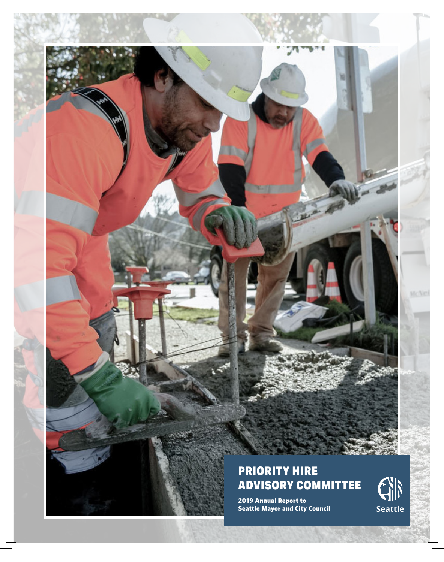

## PRIORITY HIRE ADVISORY COMMITTEE

2019 Annual Report to Seattle Mayor and City Council



McNe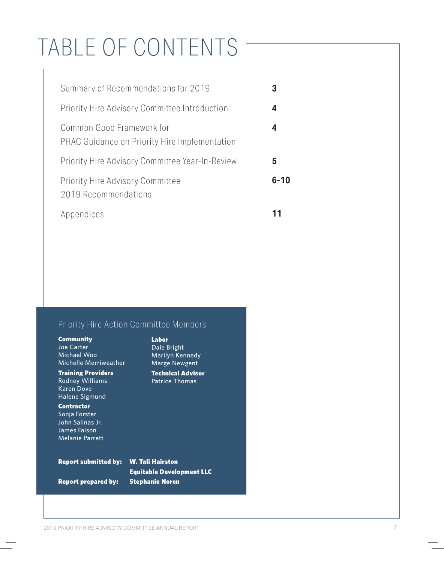## TABLE OF CONTENTS

| Summary of Recommendations for 2019                                        |          |
|----------------------------------------------------------------------------|----------|
| <b>Priority Hire Advisory Committee Introduction</b>                       | 4        |
| Common Good Framework for<br>PHAC Guidance on Priority Hire Implementation | 4        |
| Priority Hire Advisory Committee Year-In-Review                            | 5        |
| <b>Priority Hire Advisory Committee</b><br>2019 Recommendations            | $6 - 10$ |
| Appendices                                                                 |          |

## Priority Hire Action Committee Members

| <b>Community</b><br>Joe Carter<br>Michael Woo<br>Michelle Merriweather<br><b>Training Providers</b><br><b>Rodney Williams</b><br><b>Karen Dove</b><br>Halene Sigmund | Labor<br>Dale Bright<br>Marilyn Kennedy<br><b>Marge Newgent</b><br><b>Technical Advisor</b><br><b>Patrice Thomas</b> |
|----------------------------------------------------------------------------------------------------------------------------------------------------------------------|----------------------------------------------------------------------------------------------------------------------|
| <b>Contractor</b><br>Sonja Forster<br>John Salinas Jr.<br>James Faison<br>Melanie Parrett                                                                            |                                                                                                                      |
| <b>Report submitted by:</b><br><b>Report prepared by:</b>                                                                                                            | <b>W. Tali Hairston</b><br><b>Equitable Development LLC</b><br><b>Stephanie Noren</b>                                |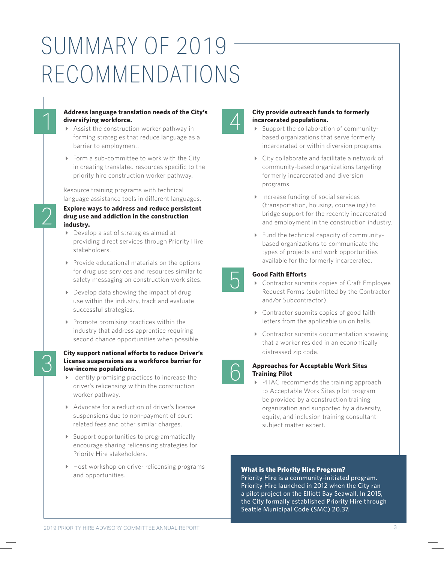## SUMMARY OF 2019 RECOMMENDATIONS

#### **Address language translation needs of the City's diversifying workforce.**

 Assist the construction worker pathway in forming strategies that reduce language as a barrier to employment.

1

2

3

▶ Form a sub-committee to work with the City in creating translated resources specific to the priority hire construction worker pathway.

Resource training programs with technical language assistance tools in different languages.

#### **Explore ways to address and reduce persistent drug use and addiction in the construction industry.**

- Develop a set of strategies aimed at providing direct services through Priority Hire stakeholders.
- $\triangleright$  Provide educational materials on the options for drug use services and resources similar to safety messaging on construction work sites.
- Develop data showing the impact of drug use within the industry, track and evaluate successful strategies.
- $\triangleright$  Promote promising practices within the industry that address apprentice requiring second chance opportunities when possible.

#### **City support national efforts to reduce Driver's License suspensions as a workforce barrier for low-income populations.**

- $\blacktriangleright$  Identify promising practices to increase the driver's relicensing within the construction worker pathway.
- ▶ Advocate for a reduction of driver's license suspensions due to non-payment of court related fees and other similar charges.
- Support opportunities to programmatically encourage sharing relicensing strategies for Priority Hire stakeholders.
- Host workshop on driver relicensing programs and opportunities.

6

5

## △ City provide outreach funds to formerly<br>
incarcerated populations.<br>
→ Support the collaboration of community**incarcerated populations.**

- based organizations that serve formerly incarcerated or within diversion programs.
- ▶ City collaborate and facilitate a network of community-based organizations targeting formerly incarcerated and diversion programs.
- Increase funding of social services (transportation, housing, counseling) to bridge support for the recently incarcerated and employment in the construction industry.
- Fund the technical capacity of communitybased organizations to communicate the types of projects and work opportunities available for the formerly incarcerated.

#### **Good Faith Efforts**

- Contractor submits copies of Craft Employee Request Forms (submitted by the Contractor and/or Subcontractor).
- ▶ Contractor submits copies of good faith letters from the applicable union halls.
- Contractor submits documentation showing that a worker resided in an economically distressed zip code.



▶ PHAC recommends the training approach to Acceptable Work Sites pilot program be provided by a construction training organization and supported by a diversity, equity, and inclusion training consultant subject matter expert.

#### What is the Priority Hire Program?

Priority Hire is a community-initiated program. Priority Hire launched in 2012 when the City ran a pilot project on the Elliott Bay Seawall. In 2015, the City formally established Priority Hire through Seattle Municipal Code (SMC) 20.37.

2019 PRIORITY HIRE ADVISORY COMMITTEE ANNUAL REPORT 3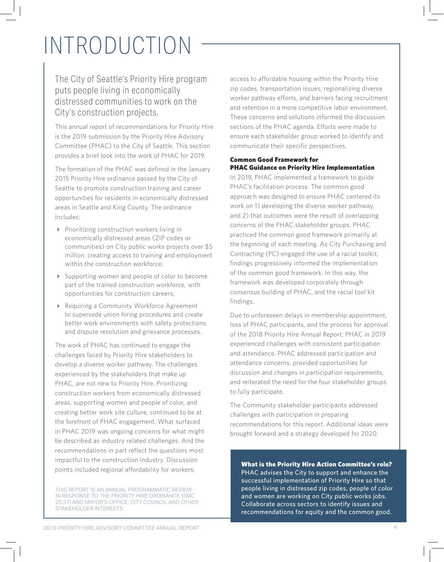# INTRODUCTION

### The City of Seattle's Priority Hire program puts people living in economically distressed communities to work on the City's construction projects.

This annual report of recommendations for Priority Hire is the 2019 submission by the Priority Hire Advisory Committee (PHAC) to the City of Seattle. This section provides a brief look into the work of PHAC for 2019.

The formation of the PHAC was defined in the January 2015 Priority Hire ordinance passed by the City of Seattle to promote construction training and career opportunities for residents in economically distressed areas in Seattle and King County. The ordinance includes:

- Prioritizing construction workers living in economically distressed areas (ZIP codes or communities) on City public works projects over \$5 million, creating access to training and employment within the construction workforce;
- Supporting women and people of color to become part of the trained construction workforce, with opportunities for construction careers;
- Requiring a Community Workforce Agreement to supersede union hiring procedures and create better work environments with safety protections and dispute resolution and grievance processes.

The work of PHAC has continued to engage the challenges faced by Priority Hire stakeholders to develop a diverse worker pathway. The challenges experienced by the stakeholders that make up PHAC, are not new to Priority Hire. Prioritizing construction workers from economically distressed areas, supporting women and people of color, and creating better work site culture, continued to be at the forefront of PHAC engagement. What surfaced in PHAC 2019 was ongoing concerns for what might be described as industry related challenges. And the recommendations in part reflect the questions most impactful to the construction industry. Discussion points included regional affordability for workers,

THIS REPORT IS AN ANNUAL PROGRAMMATIC REVIEW IN RESPONSE TO THE PRIORITY HIRE ORDINANCE (SMC 20.37) AND MAYOR'S OFFICE, CITY COUNCIL AND OTHER STAKEHOLDER INTERESTS.

access to affordable housing within the Priority Hire zip codes, transportation issues, regionalizing diverse worker pathway efforts, and barriers facing recruitment and retention in a more competitive labor environment. These concerns and solutions informed the discussion sections of the PHAC agenda. Efforts were made to ensure each stakeholder group worked to identify and communicate their specific perspectives.

#### Common Good Framework for PHAC Guidance on Priority Hire Implementation

In 2019, PHAC implemented a framework to guide PHAC's facilitation process. The common good approach was designed to ensure PHAC centered its work on 1) developing the diverse worker pathway, and 2) that outcomes were the result of overlapping concerns of the PHAC stakeholder groups. PHAC practiced the common good framework primarily at the beginning of each meeting. As City Purchasing and Contracting (PC) engaged the use of a racial toolkit, findings progressively informed the implementation of the common good framework. In this way, the framework was developed corporately through consensus building of PHAC, and the racial tool kit findings.

Due to unforeseen delays in membership appointment, loss of PHAC participants, and the process for approval of the 2018 Priority Hire Annual Report; PHAC in 2019 experienced challenges with consistent participation and attendance. PHAC addressed participation and attendance concerns, provided opportunities for discussion and changes in participation requirements, and reiterated the need for the four stakeholder groups to fully participate.

The Community stakeholder participants addressed challenges with participation in preparing recommendations for this report. Additional ideas were brought forward and a strategy developed for 2020.

What is the Priority Hire Action Committee's role? PHAC advises the City to support and enhance the successful implementation of Priority Hire so that people living in distressed zip codes, people of color and women are working on City public works jobs. Collaborate across sectors to identify issues and recommendations for equity and the common good.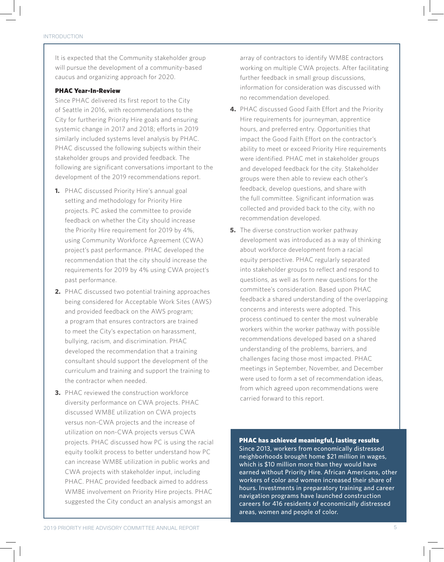#### INTRODUCTION

It is expected that the Community stakeholder group will pursue the development of a community-based caucus and organizing approach for 2020.

#### PHAC Year-In-Review

Since PHAC delivered its first report to the City of Seattle in 2016, with recommendations to the City for furthering Priority Hire goals and ensuring systemic change in 2017 and 2018; efforts in 2019 similarly included systems level analysis by PHAC. PHAC discussed the following subjects within their stakeholder groups and provided feedback. The following are significant conversations important to the development of the 2019 recommendations report.

- **1.** PHAC discussed Priority Hire's annual goal setting and methodology for Priority Hire projects. PC asked the committee to provide feedback on whether the City should increase the Priority Hire requirement for 2019 by 4%, using Community Workforce Agreement (CWA) project's past performance. PHAC developed the recommendation that the city should increase the requirements for 2019 by 4% using CWA project's past performance.
- **2.** PHAC discussed two potential training approaches being considered for Acceptable Work Sites (AWS) and provided feedback on the AWS program; a program that ensures contractors are trained to meet the City's expectation on harassment, bullying, racism, and discrimination. PHAC developed the recommendation that a training consultant should support the development of the curriculum and training and support the training to the contractor when needed.
- **3.** PHAC reviewed the construction workforce diversity performance on CWA projects. PHAC discussed WMBE utilization on CWA projects versus non-CWA projects and the increase of utilization on non-CWA projects versus CWA projects. PHAC discussed how PC is using the racial equity toolkit process to better understand how PC can increase WMBE utilization in public works and CWA projects with stakeholder input, including PHAC. PHAC provided feedback aimed to address WMBE involvement on Priority Hire projects. PHAC suggested the City conduct an analysis amongst an

array of contractors to identify WMBE contractors working on multiple CWA projects. After facilitating further feedback in small group discussions, information for consideration was discussed with no recommendation developed.

- **4.** PHAC discussed Good Faith Effort and the Priority Hire requirements for journeyman, apprentice hours, and preferred entry. Opportunities that impact the Good Faith Effort on the contractor's ability to meet or exceed Priority Hire requirements were identified. PHAC met in stakeholder groups and developed feedback for the city. Stakeholder groups were then able to review each other's feedback, develop questions, and share with the full committee. Significant information was collected and provided back to the city, with no recommendation developed.
- **5.** The diverse construction worker pathway development was introduced as a way of thinking about workforce development from a racial equity perspective. PHAC regularly separated into stakeholder groups to reflect and respond to questions, as well as form new questions for the committee's consideration. Based upon PHAC feedback a shared understanding of the overlapping concerns and interests were adopted. This process continued to center the most vulnerable workers within the worker pathway with possible recommendations developed based on a shared understanding of the problems, barriers, and challenges facing those most impacted. PHAC meetings in September, November, and December were used to form a set of recommendation ideas, from which agreed upon recommendations were carried forward to this report.

PHAC has achieved meaningful, lasting results Since 2013, workers from economically distressed neighborhoods brought home \$21 million in wages, which is \$10 million more than they would have earned without Priority Hire. African Americans, other workers of color and women increased their share of hours. Investments in preparatory training and career navigation programs have launched construction careers for 416 residents of economically distressed areas, women and people of color.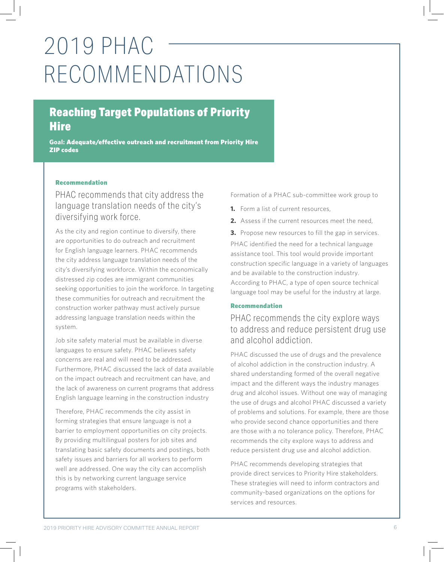## 2019 PHAC RECOMMENDATIONS

## Reaching Target Populations of Priority **Hire**

**Goal:** Adequate/effective outreach and recruitment from Priority Hire ZIP codes

#### Recommendation

PHAC recommends that city address the language translation needs of the city's diversifying work force.

As the city and region continue to diversify, there are opportunities to do outreach and recruitment for English language learners. PHAC recommends the city address language translation needs of the city's diversifying workforce. Within the economically distressed zip codes are immigrant communities seeking opportunities to join the workforce. In targeting these communities for outreach and recruitment the construction worker pathway must actively pursue addressing language translation needs within the system.

Job site safety material must be available in diverse languages to ensure safety. PHAC believes safety concerns are real and will need to be addressed. Furthermore, PHAC discussed the lack of data available on the impact outreach and recruitment can have, and the lack of awareness on current programs that address English language learning in the construction industry

Therefore, PHAC recommends the city assist in forming strategies that ensure language is not a barrier to employment opportunities on city projects. By providing multilingual posters for job sites and translating basic safety documents and postings, both safety issues and barriers for all workers to perform well are addressed. One way the city can accomplish this is by networking current language service programs with stakeholders.

Formation of a PHAC sub-committee work group to

- **1.** Form a list of current resources,
- **2.** Assess if the current resources meet the need,
- **3.** Propose new resources to fill the gap in services.

PHAC identified the need for a technical language assistance tool. This tool would provide important construction specific language in a variety of languages and be available to the construction industry. According to PHAC, a type of open source technical language tool may be useful for the industry at large.

#### Recommendation

### PHAC recommends the city explore ways to address and reduce persistent drug use and alcohol addiction.

PHAC discussed the use of drugs and the prevalence of alcohol addiction in the construction industry. A shared understanding formed of the overall negative impact and the different ways the industry manages drug and alcohol issues. Without one way of managing the use of drugs and alcohol PHAC discussed a variety of problems and solutions. For example, there are those who provide second chance opportunities and there are those with a no tolerance policy. Therefore, PHAC recommends the city explore ways to address and reduce persistent drug use and alcohol addiction.

PHAC recommends developing strategies that provide direct services to Priority Hire stakeholders. These strategies will need to inform contractors and community-based organizations on the options for services and resources.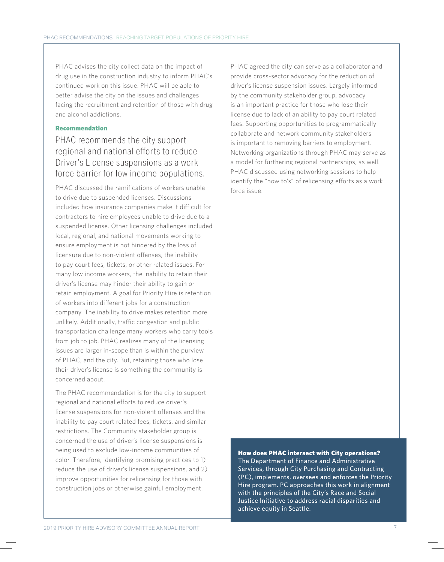PHAC advises the city collect data on the impact of drug use in the construction industry to inform PHAC's continued work on this issue. PHAC will be able to better advise the city on the issues and challenges facing the recruitment and retention of those with drug and alcohol addictions.

#### Recommendation

### PHAC recommends the city support regional and national efforts to reduce Driver's License suspensions as a work force barrier for low income populations.

PHAC discussed the ramifications of workers unable to drive due to suspended licenses. Discussions included how insurance companies make it difficult for contractors to hire employees unable to drive due to a suspended license. Other licensing challenges included local, regional, and national movements working to ensure employment is not hindered by the loss of licensure due to non-violent offenses, the inability to pay court fees, tickets, or other related issues. For many low income workers, the inability to retain their driver's license may hinder their ability to gain or retain employment. A goal for Priority Hire is retention of workers into different jobs for a construction company. The inability to drive makes retention more unlikely. Additionally, traffic congestion and public transportation challenge many workers who carry tools from job to job. PHAC realizes many of the licensing issues are larger in-scope than is within the purview of PHAC, and the city. But, retaining those who lose their driver's license is something the community is concerned about.

The PHAC recommendation is for the city to support regional and national efforts to reduce driver's license suspensions for non-violent offenses and the inability to pay court related fees, tickets, and similar restrictions. The Community stakeholder group is concerned the use of driver's license suspensions is being used to exclude low-income communities of color. Therefore, identifying promising practices to 1) reduce the use of driver's license suspensions, and 2) improve opportunities for relicensing for those with construction jobs or otherwise gainful employment.

PHAC agreed the city can serve as a collaborator and provide cross-sector advocacy for the reduction of driver's license suspension issues. Largely informed by the community stakeholder group, advocacy is an important practice for those who lose their license due to lack of an ability to pay court related fees. Supporting opportunities to programmatically collaborate and network community stakeholders is important to removing barriers to employment. Networking organizations through PHAC may serve as a model for furthering regional partnerships, as well. PHAC discussed using networking sessions to help identify the "how to's" of relicensing efforts as a work force issue.

#### How does PHAC intersect with City operations?

The Department of Finance and Administrative Services, through City Purchasing and Contracting (PC), implements, oversees and enforces the Priority Hire program. PC approaches this work in alignment with the principles of the City's Race and Social Justice Initiative to address racial disparities and achieve equity in Seattle.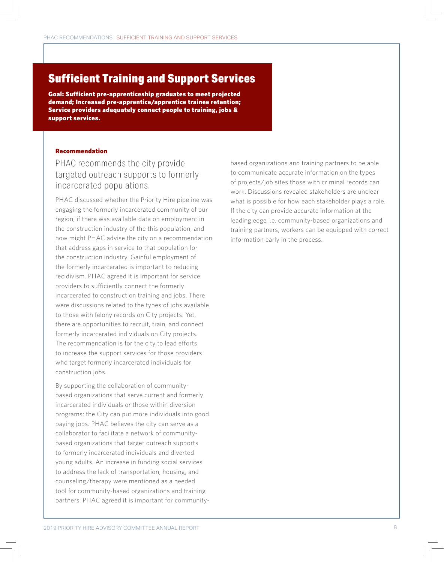## Sufficient Training and Support Services

Goal: Sufficient pre-apprenticeship graduates to meet projected demand; Increased pre-apprentice/apprentice trainee retention; Service providers adequately connect people to training, jobs & support services.

#### Recommendation

#### PHAC recommends the city provide targeted outreach supports to formerly incarcerated populations.

PHAC discussed whether the Priority Hire pipeline was engaging the formerly incarcerated community of our region, if there was available data on employment in the construction industry of the this population, and how might PHAC advise the city on a recommendation that address gaps in service to that population for the construction industry. Gainful employment of the formerly incarcerated is important to reducing recidivism. PHAC agreed it is important for service providers to sufficiently connect the formerly incarcerated to construction training and jobs. There were discussions related to the types of jobs available to those with felony records on City projects. Yet, there are opportunities to recruit, train, and connect formerly incarcerated individuals on City projects. The recommendation is for the city to lead efforts to increase the support services for those providers who target formerly incarcerated individuals for construction jobs.

By supporting the collaboration of communitybased organizations that serve current and formerly incarcerated individuals or those within diversion programs; the City can put more individuals into good paying jobs. PHAC believes the city can serve as a collaborator to facilitate a network of communitybased organizations that target outreach supports to formerly incarcerated individuals and diverted young adults. An increase in funding social services to address the lack of transportation, housing, and counseling/therapy were mentioned as a needed tool for community-based organizations and training partners. PHAC agreed it is important for communitybased organizations and training partners to be able to communicate accurate information on the types of projects/job sites those with criminal records can work. Discussions revealed stakeholders are unclear what is possible for how each stakeholder plays a role. If the city can provide accurate information at the leading edge i.e. community-based organizations and training partners, workers can be equipped with correct information early in the process.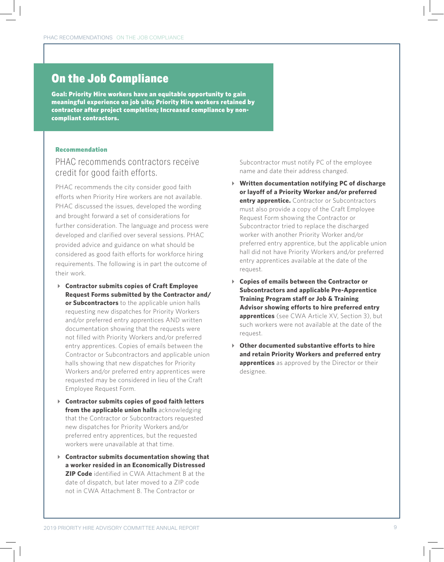## On the Job Compliance

Goal: Priority Hire workers have an equitable opportunity to gain meaningful experience on job site; Priority Hire workers retained by contractor after project completion; Increased compliance by noncompliant contractors.

#### Recommendation

#### PHAC recommends contractors receive credit for good faith efforts.

PHAC recommends the city consider good faith efforts when Priority Hire workers are not available. PHAC discussed the issues, developed the wording and brought forward a set of considerations for further consideration. The language and process were developed and clarified over several sessions. PHAC provided advice and guidance on what should be considered as good faith efforts for workforce hiring requirements. The following is in part the outcome of their work.

- **Contractor submits copies of Craft Employee Request Forms submitted by the Contractor and/ or Subcontractors** to the applicable union halls requesting new dispatches for Priority Workers and/or preferred entry apprentices AND written documentation showing that the requests were not filled with Priority Workers and/or preferred entry apprentices. Copies of emails between the Contractor or Subcontractors and applicable union halls showing that new dispatches for Priority Workers and/or preferred entry apprentices were requested may be considered in lieu of the Craft Employee Request Form.
- **Contractor submits copies of good faith letters from the applicable union halls** acknowledging that the Contractor or Subcontractors requested new dispatches for Priority Workers and/or preferred entry apprentices, but the requested workers were unavailable at that time.
- **Contractor submits documentation showing that a worker resided in an Economically Distressed ZIP Code** identified in CWA Attachment B at the date of dispatch, but later moved to a ZIP code not in CWA Attachment B. The Contractor or

Subcontractor must notify PC of the employee name and date their address changed.

- **Written documentation notifying PC of discharge or layoff of a Priority Worker and/or preferred entry apprentice.** Contractor or Subcontractors must also provide a copy of the Craft Employee Request Form showing the Contractor or Subcontractor tried to replace the discharged worker with another Priority Worker and/or preferred entry apprentice, but the applicable union hall did not have Priority Workers and/or preferred entry apprentices available at the date of the request.
- **Copies of emails between the Contractor or Subcontractors and applicable Pre-Apprentice Training Program staff or Job & Training Advisor showing efforts to hire preferred entry apprentices** (see CWA Article XV, Section 3), but such workers were not available at the date of the request.
- **Other documented substantive efforts to hire and retain Priority Workers and preferred entry apprentices** as approved by the Director or their designee.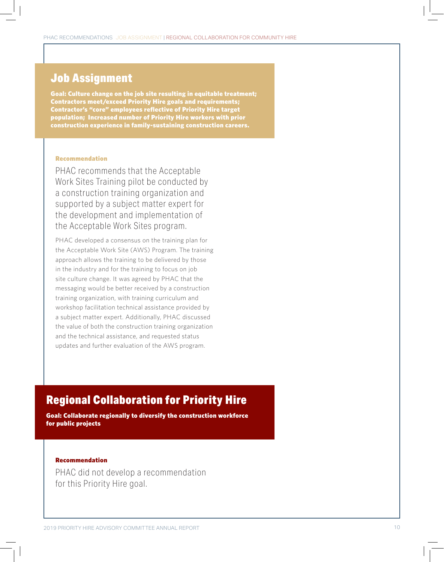### Job Assignment

Goal: Culture change on the job site resulting in equitable treatment; Contractors meet/exceed Priority Hire goals and requirements; Contractor's "core" employees reflective of Priority Hire target population; Increased number of Priority Hire workers with prior construction experience in family-sustaining construction careers.

#### Recommendation

PHAC recommends that the Acceptable Work Sites Training pilot be conducted by a construction training organization and supported by a subject matter expert for the development and implementation of the Acceptable Work Sites program.

PHAC developed a consensus on the training plan for the Acceptable Work Site (AWS) Program. The training approach allows the training to be delivered by those in the industry and for the training to focus on job site culture change. It was agreed by PHAC that the messaging would be better received by a construction training organization, with training curriculum and workshop facilitation technical assistance provided by a subject matter expert. Additionally, PHAC discussed the value of both the construction training organization and the technical assistance, and requested status updates and further evaluation of the AWS program.

## Regional Collaboration for Priority Hire

Goal: Collaborate regionally to diversify the construction workforce for public projects

#### Recommendation

PHAC did not develop a recommendation for this Priority Hire goal.